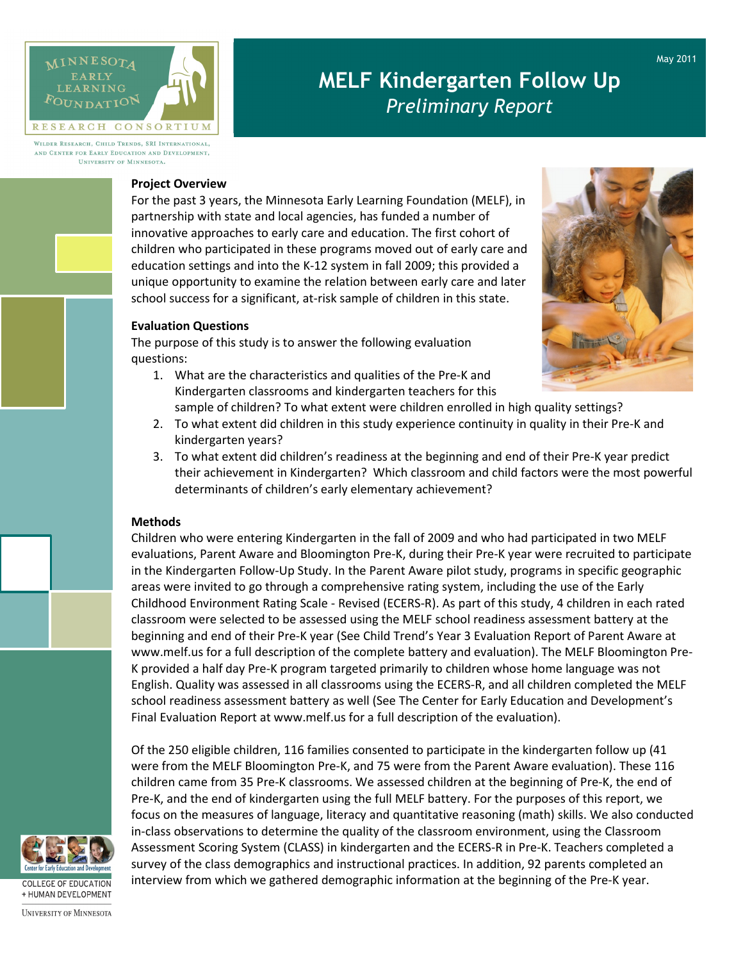

# MELF Kindergarten Follow Up Preliminary Report

WILDER RESEARCH, CHILD TRENDS, SRI INTERNATIONAL, AND CENTER FOR EARLY EDUCATION AND DEVELOPMENT. UNIVERSITY OF MINNESOTA.

#### Project Overview

For the past 3 years, the Minnesota Early Learning Foundation (MELF), in partnership with state and local agencies, has funded a number of innovative approaches to early care and education. The first cohort of children who participated in these programs moved out of early care and education settings and into the K-12 system in fall 2009; this provided a unique opportunity to examine the relation between early care and later school success for a significant, at-risk sample of children in this state.

# Evaluation Questions

The purpose of this study is to answer the following evaluation questions:

- 1. What are the characteristics and qualities of the Pre-K and Kindergarten classrooms and kindergarten teachers for this sample of children? To what extent were children enrolled in high quality settings?
- 2. To what extent did children in this study experience continuity in quality in their Pre-K and kindergarten years?
- 3. To what extent did children's readiness at the beginning and end of their Pre-K year predict their achievement in Kindergarten? Which classroom and child factors were the most powerful determinants of children's early elementary achievement?

#### Methods

Children who were entering Kindergarten in the fall of 2009 and who had participated in two MELF evaluations, Parent Aware and Bloomington Pre-K, during their Pre-K year were recruited to participate in the Kindergarten Follow-Up Study. In the Parent Aware pilot study, programs in specific geographic areas were invited to go through a comprehensive rating system, including the use of the Early Childhood Environment Rating Scale - Revised (ECERS-R). As part of this study, 4 children in each rated classroom were selected to be assessed using the MELF school readiness assessment battery at the beginning and end of their Pre-K year (See Child Trend's Year 3 Evaluation Report of Parent Aware at www.melf.us for a full description of the complete battery and evaluation). The MELF Bloomington Pre-K provided a half day Pre-K program targeted primarily to children whose home language was not English. Quality was assessed in all classrooms using the ECERS-R, and all children completed the MELF school readiness assessment battery as well (See The Center for Early Education and Development's Final Evaluation Report at www.melf.us for a full description of the evaluation).

Of the 250 eligible children, 116 families consented to participate in the kindergarten follow up (41 were from the MELF Bloomington Pre-K, and 75 were from the Parent Aware evaluation). These 116 children came from 35 Pre-K classrooms. We assessed children at the beginning of Pre-K, the end of Pre-K, and the end of kindergarten using the full MELF battery. For the purposes of this report, we focus on the measures of language, literacy and quantitative reasoning (math) skills. We also conducted in-class observations to determine the quality of the classroom environment, using the Classroom Assessment Scoring System (CLASS) in kindergarten and the ECERS-R in Pre-K. Teachers completed a survey of the class demographics and instructional practices. In addition, 92 parents completed an interview from which we gathered demographic information at the beginning of the Pre-K year.





**UNIVERSITY OF MINNESOTA**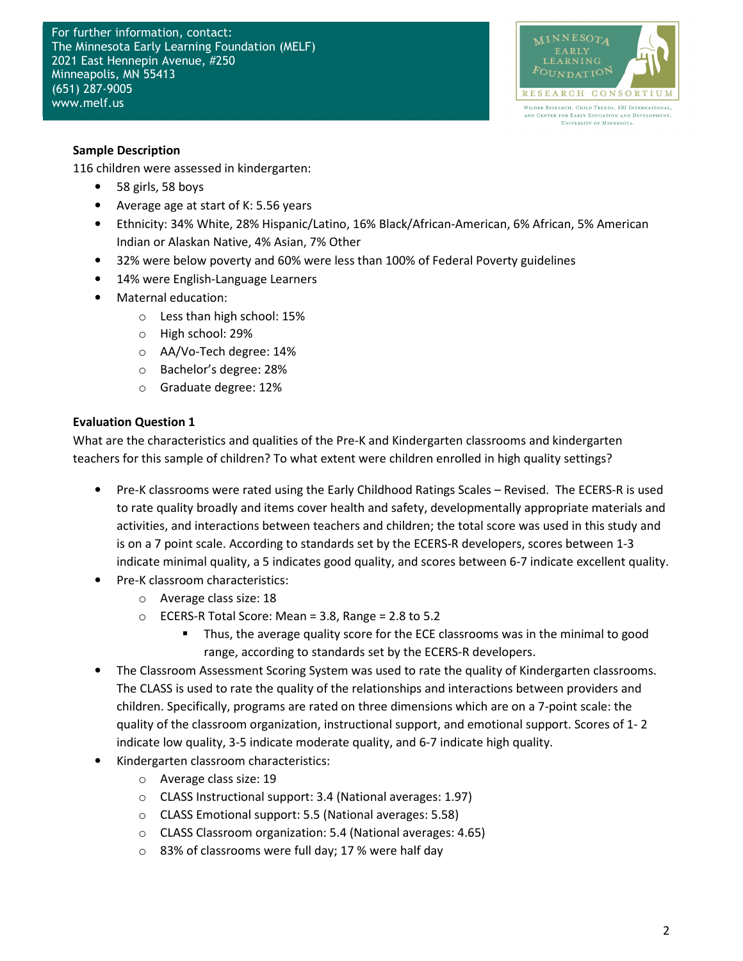For further information, contact: The Minnesota Early Learning Foundation (MELF) 2021 East Hennepin Avenue, #250 Minneapolis, MN 55413 (651) 287-9005 www.melf.us



# Sample Description

116 children were assessed in kindergarten:

- 58 girls, 58 boys
- Average age at start of K: 5.56 years
- Ethnicity: 34% White, 28% Hispanic/Latino, 16% Black/African-American, 6% African, 5% American Indian or Alaskan Native, 4% Asian, 7% Other
- 32% were below poverty and 60% were less than 100% of Federal Poverty guidelines
- 14% were English-Language Learners
- Maternal education:
	- o Less than high school: 15%
	- o High school: 29%
	- o AA/Vo-Tech degree: 14%
	- o Bachelor's degree: 28%
	- o Graduate degree: 12%

# Evaluation Question 1

What are the characteristics and qualities of the Pre-K and Kindergarten classrooms and kindergarten teachers for this sample of children? To what extent were children enrolled in high quality settings?

- Pre-K classrooms were rated using the Early Childhood Ratings Scales Revised. The ECERS-R is used to rate quality broadly and items cover health and safety, developmentally appropriate materials and activities, and interactions between teachers and children; the total score was used in this study and is on a 7 point scale. According to standards set by the ECERS-R developers, scores between 1-3 indicate minimal quality, a 5 indicates good quality, and scores between 6-7 indicate excellent quality.
- Pre-K classroom characteristics:
	- o Average class size: 18
	- $\circ$  ECERS-R Total Score: Mean = 3.8, Range = 2.8 to 5.2
		- Thus, the average quality score for the ECE classrooms was in the minimal to good range, according to standards set by the ECERS-R developers.
- The Classroom Assessment Scoring System was used to rate the quality of Kindergarten classrooms. The CLASS is used to rate the quality of the relationships and interactions between providers and children. Specifically, programs are rated on three dimensions which are on a 7-point scale: the quality of the classroom organization, instructional support, and emotional support. Scores of 1- 2 indicate low quality, 3-5 indicate moderate quality, and 6-7 indicate high quality.
- Kindergarten classroom characteristics:
	- o Average class size: 19
	- o CLASS Instructional support: 3.4 (National averages: 1.97)
	- o CLASS Emotional support: 5.5 (National averages: 5.58)
	- o CLASS Classroom organization: 5.4 (National averages: 4.65)
	- o 83% of classrooms were full day; 17 % were half day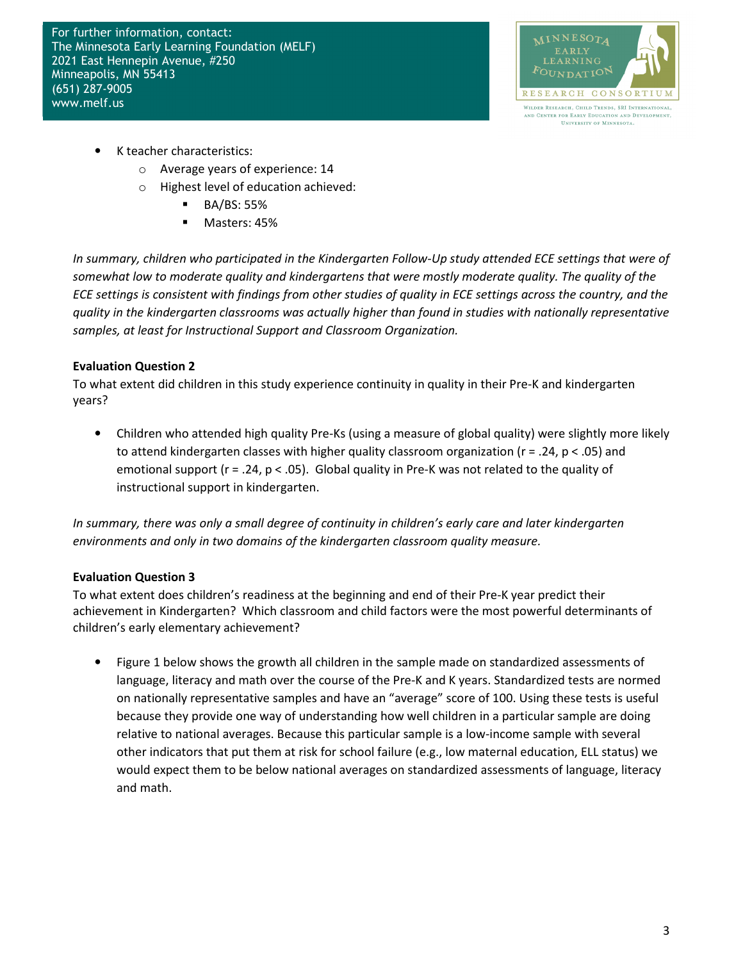For further information, contact: The Minnesota Early Learning Foundation (MELF) 2021 East Hennepin Avenue, #250 Minneapolis, MN 55413 (651) 287-9005 www.melf.us



- K teacher characteristics:
	- o Average years of experience: 14
	- o Highest level of education achieved:
		- **BA/BS: 55%**
		- **Masters: 45%**

In summary, children who participated in the Kindergarten Follow-Up study attended ECE settings that were of somewhat low to moderate quality and kindergartens that were mostly moderate quality. The quality of the ECE settings is consistent with findings from other studies of quality in ECE settings across the country, and the quality in the kindergarten classrooms was actually higher than found in studies with nationally representative samples, at least for Instructional Support and Classroom Organization.

# Evaluation Question 2

To what extent did children in this study experience continuity in quality in their Pre-K and kindergarten years?

• Children who attended high quality Pre-Ks (using a measure of global quality) were slightly more likely to attend kindergarten classes with higher quality classroom organization ( $r = .24$ ,  $p < .05$ ) and emotional support ( $r = 0.24$ ,  $p < 0.05$ ). Global quality in Pre-K was not related to the quality of instructional support in kindergarten.

In summary, there was only a small degree of continuity in children's early care and later kindergarten environments and only in two domains of the kindergarten classroom quality measure.

# Evaluation Question 3

To what extent does children's readiness at the beginning and end of their Pre-K year predict their achievement in Kindergarten? Which classroom and child factors were the most powerful determinants of children's early elementary achievement?

• Figure 1 below shows the growth all children in the sample made on standardized assessments of language, literacy and math over the course of the Pre-K and K years. Standardized tests are normed on nationally representative samples and have an "average" score of 100. Using these tests is useful because they provide one way of understanding how well children in a particular sample are doing relative to national averages. Because this particular sample is a low-income sample with several other indicators that put them at risk for school failure (e.g., low maternal education, ELL status) we would expect them to be below national averages on standardized assessments of language, literacy and math.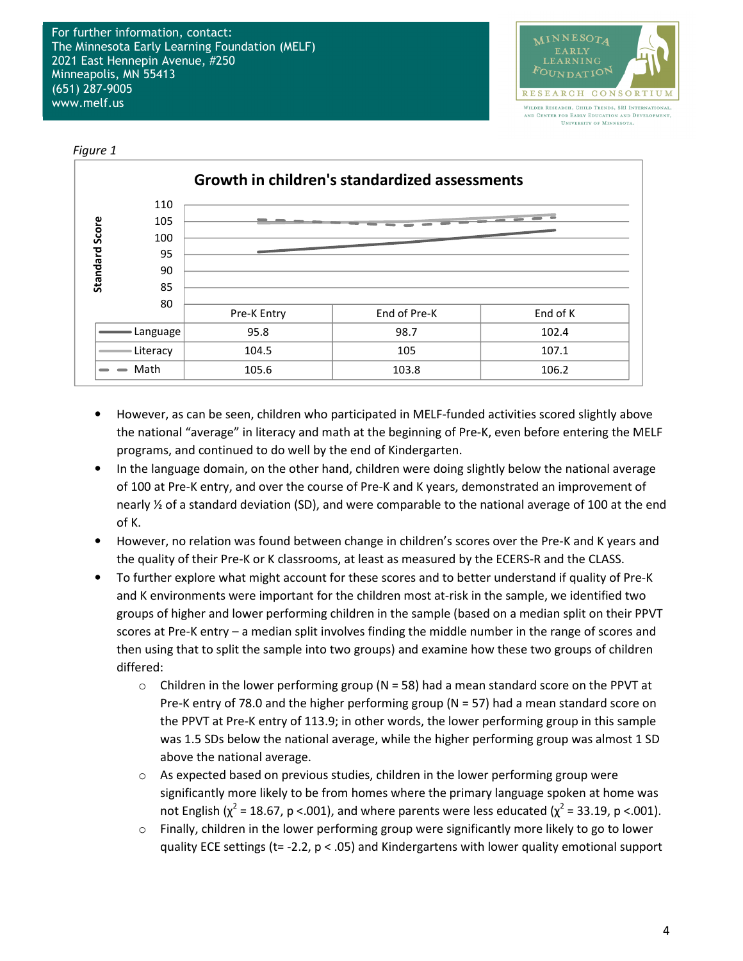

Figure 1



- However, as can be seen, children who participated in MELF-funded activities scored slightly above the national "average" in literacy and math at the beginning of Pre-K, even before entering the MELF programs, and continued to do well by the end of Kindergarten.
- In the language domain, on the other hand, children were doing slightly below the national average of 100 at Pre-K entry, and over the course of Pre-K and K years, demonstrated an improvement of nearly ½ of a standard deviation (SD), and were comparable to the national average of 100 at the end of K.
- However, no relation was found between change in children's scores over the Pre-K and K years and the quality of their Pre-K or K classrooms, at least as measured by the ECERS-R and the CLASS.
- To further explore what might account for these scores and to better understand if quality of Pre-K and K environments were important for the children most at-risk in the sample, we identified two groups of higher and lower performing children in the sample (based on a median split on their PPVT scores at Pre-K entry – a median split involves finding the middle number in the range of scores and then using that to split the sample into two groups) and examine how these two groups of children differed:
	- $\circ$  Children in the lower performing group (N = 58) had a mean standard score on the PPVT at Pre-K entry of 78.0 and the higher performing group (N = 57) had a mean standard score on the PPVT at Pre-K entry of 113.9; in other words, the lower performing group in this sample was 1.5 SDs below the national average, while the higher performing group was almost 1 SD above the national average.
	- $\circ$  As expected based on previous studies, children in the lower performing group were significantly more likely to be from homes where the primary language spoken at home was not English ( $\chi^2$  = 18.67, p <.001), and where parents were less educated ( $\chi^2$  = 33.19, p <.001).
	- $\circ$  Finally, children in the lower performing group were significantly more likely to go to lower quality ECE settings (t= -2.2, p < .05) and Kindergartens with lower quality emotional support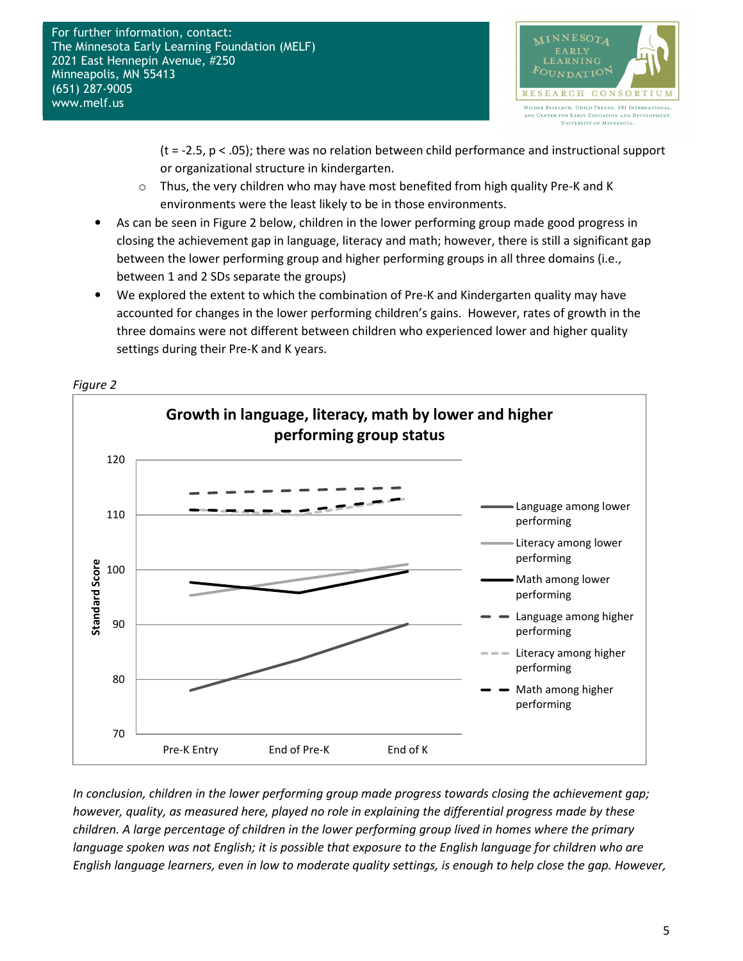

 $(t = -2.5, p < .05)$ ; there was no relation between child performance and instructional support or organizational structure in kindergarten.

- $\circ$  Thus, the very children who may have most benefited from high quality Pre-K and K environments were the least likely to be in those environments.
- As can be seen in Figure 2 below, children in the lower performing group made good progress in closing the achievement gap in language, literacy and math; however, there is still a significant gap between the lower performing group and higher performing groups in all three domains (i.e., between 1 and 2 SDs separate the groups)
- We explored the extent to which the combination of Pre-K and Kindergarten quality may have accounted for changes in the lower performing children's gains. However, rates of growth in the three domains were not different between children who experienced lower and higher quality settings during their Pre-K and K years.



In conclusion, children in the lower performing group made progress towards closing the achievement gap; however, quality, as measured here, played no role in explaining the differential progress made by these children. A large percentage of children in the lower performing group lived in homes where the primary language spoken was not English; it is possible that exposure to the English language for children who are English language learners, even in low to moderate quality settings, is enough to help close the gap. However,